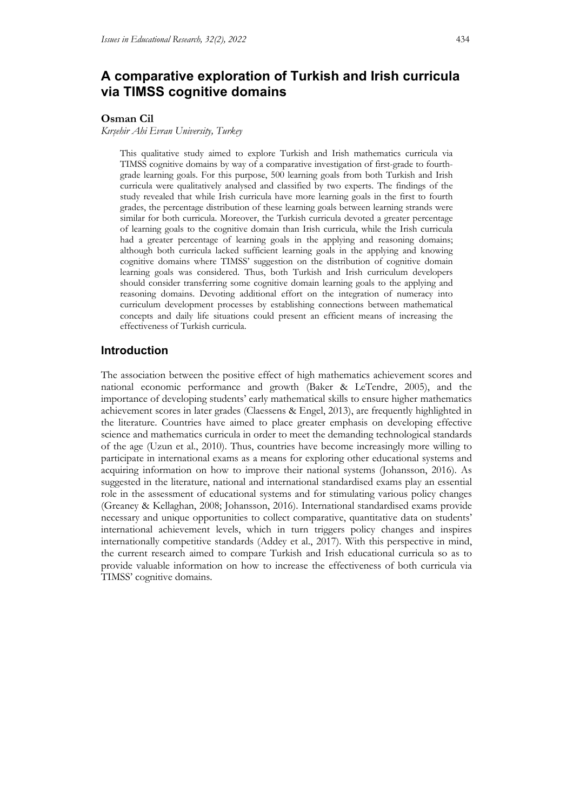# **A comparative exploration of Turkish and Irish curricula via TIMSS cognitive domains**

#### **Osman Cil**

*Kırşehir Ahi Evran University, Turkey*

This qualitative study aimed to explore Turkish and Irish mathematics curricula via TIMSS cognitive domains by way of a comparative investigation of first-grade to fourthgrade learning goals. For this purpose, 500 learning goals from both Turkish and Irish curricula were qualitatively analysed and classified by two experts. The findings of the study revealed that while Irish curricula have more learning goals in the first to fourth grades, the percentage distribution of these learning goals between learning strands were similar for both curricula. Moreover, the Turkish curricula devoted a greater percentage of learning goals to the cognitive domain than Irish curricula, while the Irish curricula had a greater percentage of learning goals in the applying and reasoning domains; although both curricula lacked sufficient learning goals in the applying and knowing cognitive domains where TIMSS' suggestion on the distribution of cognitive domain learning goals was considered. Thus, both Turkish and Irish curriculum developers should consider transferring some cognitive domain learning goals to the applying and reasoning domains. Devoting additional effort on the integration of numeracy into curriculum development processes by establishing connections between mathematical concepts and daily life situations could present an efficient means of increasing the effectiveness of Turkish curricula.

## **Introduction**

The association between the positive effect of high mathematics achievement scores and national economic performance and growth (Baker & LeTendre, 2005), and the importance of developing students' early mathematical skills to ensure higher mathematics achievement scores in later grades (Claessens & Engel, 2013), are frequently highlighted in the literature. Countries have aimed to place greater emphasis on developing effective science and mathematics curricula in order to meet the demanding technological standards of the age (Uzun et al., 2010). Thus, countries have become increasingly more willing to participate in international exams as a means for exploring other educational systems and acquiring information on how to improve their national systems (Johansson, 2016). As suggested in the literature, national and international standardised exams play an essential role in the assessment of educational systems and for stimulating various policy changes (Greaney & Kellaghan, 2008; Johansson, 2016). International standardised exams provide necessary and unique opportunities to collect comparative, quantitative data on students' international achievement levels, which in turn triggers policy changes and inspires internationally competitive standards (Addey et al., 2017). With this perspective in mind, the current research aimed to compare Turkish and Irish educational curricula so as to provide valuable information on how to increase the effectiveness of both curricula via TIMSS' cognitive domains.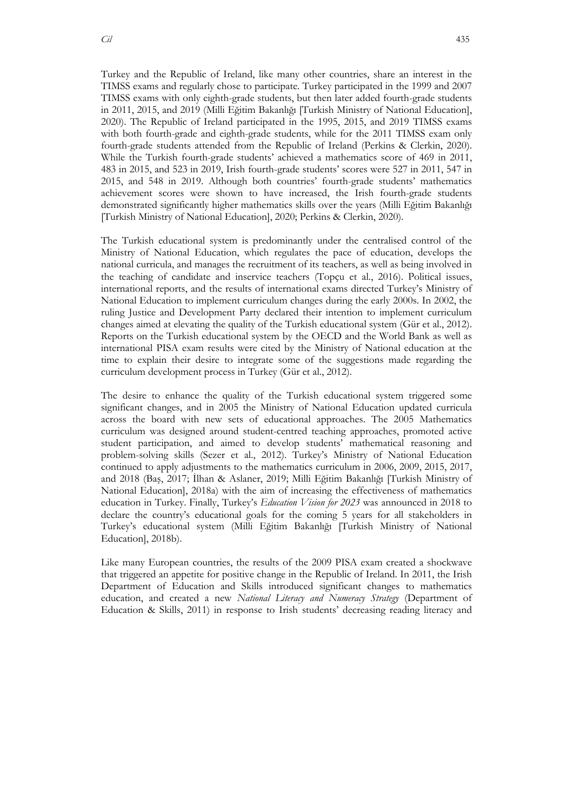Turkey and the Republic of Ireland, like many other countries, share an interest in the TIMSS exams and regularly chose to participate. Turkey participated in the 1999 and 2007 TIMSS exams with only eighth-grade students, but then later added fourth-grade students in 2011, 2015, and 2019 (Milli Eğitim Bakanlığı [Turkish Ministry of National Education], 2020). The Republic of Ireland participated in the 1995, 2015, and 2019 TIMSS exams with both fourth-grade and eighth-grade students, while for the 2011 TIMSS exam only fourth-grade students attended from the Republic of Ireland (Perkins & Clerkin, 2020). While the Turkish fourth-grade students' achieved a mathematics score of 469 in 2011, 483 in 2015, and 523 in 2019, Irish fourth-grade students' scores were 527 in 2011, 547 in 2015, and 548 in 2019. Although both countries' fourth-grade students' mathematics achievement scores were shown to have increased, the Irish fourth-grade students demonstrated significantly higher mathematics skills over the years (Milli Eğitim Bakanlığı [Turkish Ministry of National Education], 2020; Perkins & Clerkin, 2020).

The Turkish educational system is predominantly under the centralised control of the Ministry of National Education, which regulates the pace of education, develops the national curricula, and manages the recruitment of its teachers, as well as being involved in the teaching of candidate and inservice teachers (Topçu et al., 2016). Political issues, international reports, and the results of international exams directed Turkey's Ministry of National Education to implement curriculum changes during the early 2000s. In 2002, the ruling Justice and Development Party declared their intention to implement curriculum changes aimed at elevating the quality of the Turkish educational system (Gür et al., 2012). Reports on the Turkish educational system by the OECD and the World Bank as well as international PISA exam results were cited by the Ministry of National education at the time to explain their desire to integrate some of the suggestions made regarding the curriculum development process in Turkey (Gür et al., 2012).

The desire to enhance the quality of the Turkish educational system triggered some significant changes, and in 2005 the Ministry of National Education updated curricula across the board with new sets of educational approaches. The 2005 Mathematics curriculum was designed around student-centred teaching approaches, promoted active student participation, and aimed to develop students' mathematical reasoning and problem-solving skills (Sezer et al., 2012). Turkey's Ministry of National Education continued to apply adjustments to the mathematics curriculum in 2006, 2009, 2015, 2017, and 2018 (Baş, 2017; İlhan & Aslaner, 2019; Milli Eğitim Bakanlığı [Turkish Ministry of National Education], 2018a) with the aim of increasing the effectiveness of mathematics education in Turkey. Finally, Turkey's *Education Vision for 2023* was announced in 2018 to declare the country's educational goals for the coming 5 years for all stakeholders in Turkey's educational system (Milli Eğitim Bakanlığı [Turkish Ministry of National Education], 2018b).

Like many European countries, the results of the 2009 PISA exam created a shockwave that triggered an appetite for positive change in the Republic of Ireland. In 2011, the Irish Department of Education and Skills introduced significant changes to mathematics education, and created a new *National Literacy and Numeracy Strategy* (Department of Education & Skills, 2011) in response to Irish students' decreasing reading literacy and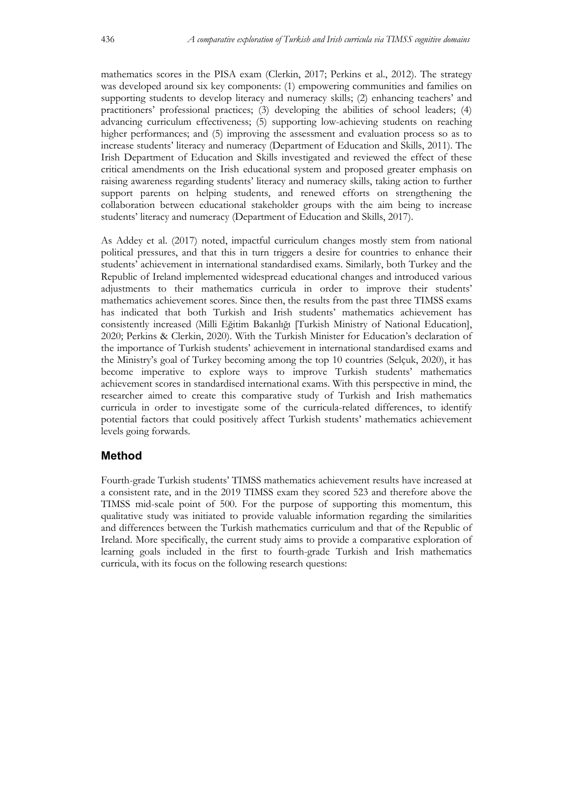mathematics scores in the PISA exam (Clerkin, 2017; Perkins et al., 2012). The strategy was developed around six key components: (1) empowering communities and families on supporting students to develop literacy and numeracy skills; (2) enhancing teachers' and practitioners' professional practices; (3) developing the abilities of school leaders; (4) advancing curriculum effectiveness; (5) supporting low-achieving students on reaching higher performances; and (5) improving the assessment and evaluation process so as to increase students' literacy and numeracy (Department of Education and Skills, 2011). The Irish Department of Education and Skills investigated and reviewed the effect of these critical amendments on the Irish educational system and proposed greater emphasis on raising awareness regarding students' literacy and numeracy skills, taking action to further support parents on helping students, and renewed efforts on strengthening the collaboration between educational stakeholder groups with the aim being to increase students' literacy and numeracy (Department of Education and Skills, 2017).

As Addey et al. (2017) noted, impactful curriculum changes mostly stem from national political pressures, and that this in turn triggers a desire for countries to enhance their students' achievement in international standardised exams. Similarly, both Turkey and the Republic of Ireland implemented widespread educational changes and introduced various adjustments to their mathematics curricula in order to improve their students' mathematics achievement scores. Since then, the results from the past three TIMSS exams has indicated that both Turkish and Irish students' mathematics achievement has consistently increased (Milli Eğitim Bakanlığı [Turkish Ministry of National Education], 2020; Perkins & Clerkin, 2020). With the Turkish Minister for Education's declaration of the importance of Turkish students' achievement in international standardised exams and the Ministry's goal of Turkey becoming among the top 10 countries (Selçuk, 2020), it has become imperative to explore ways to improve Turkish students' mathematics achievement scores in standardised international exams. With this perspective in mind, the researcher aimed to create this comparative study of Turkish and Irish mathematics curricula in order to investigate some of the curricula-related differences, to identify potential factors that could positively affect Turkish students' mathematics achievement levels going forwards.

## **Method**

Fourth-grade Turkish students' TIMSS mathematics achievement results have increased at a consistent rate, and in the 2019 TIMSS exam they scored 523 and therefore above the TIMSS mid-scale point of 500. For the purpose of supporting this momentum, this qualitative study was initiated to provide valuable information regarding the similarities and differences between the Turkish mathematics curriculum and that of the Republic of Ireland. More specifically, the current study aims to provide a comparative exploration of learning goals included in the first to fourth-grade Turkish and Irish mathematics curricula, with its focus on the following research questions: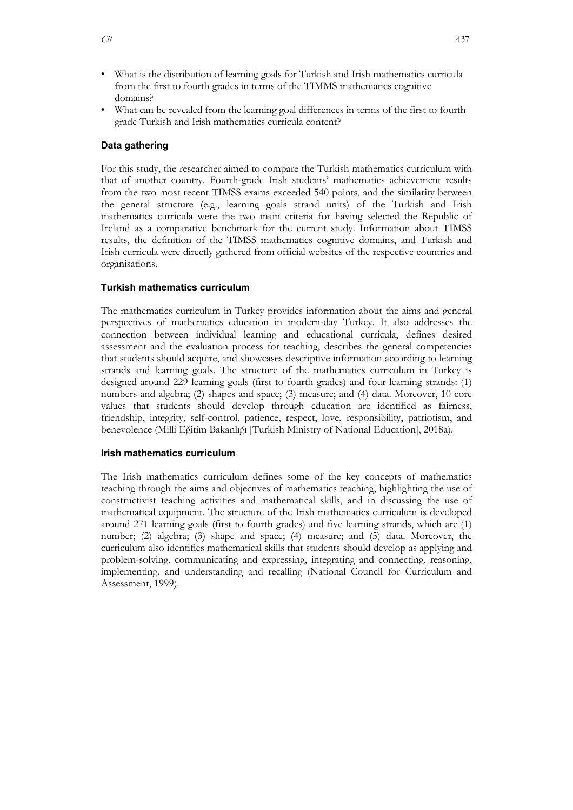- What is the distribution of learning goals for Turkish and Irish mathematics curricula from the first to fourth grades in terms of the TIMMS mathematics cognitive domains?
- What can be revealed from the learning goal differences in terms of the first to fourth grade Turkish and Irish mathematics curricula content?

## **Data gathering**

For this study, the researcher aimed to compare the Turkish mathematics curriculum with that of another country. Fourth-grade Irish students' mathematics achievement results from the two most recent TIMSS exams exceeded 540 points, and the similarity between the general structure (e.g., learning goals strand units) of the Turkish and Irish mathematics curricula were the two main criteria for having selected the Republic of Ireland as a comparative benchmark for the current study. Information about TIMSS results, the definition of the TIMSS mathematics cognitive domains, and Turkish and Irish curricula were directly gathered from official websites of the respective countries and organisations.

## **Turkish mathematics curriculum**

The mathematics curriculum in Turkey provides information about the aims and general perspectives of mathematics education in modern-day Turkey. It also addresses the connection between individual learning and educational curricula, defines desired assessment and the evaluation process for teaching, describes the general competencies that students should acquire, and showcases descriptive information according to learning strands and learning goals. The structure of the mathematics curriculum in Turkey is designed around 229 learning goals (first to fourth grades) and four learning strands: (1) numbers and algebra; (2) shapes and space; (3) measure; and (4) data. Moreover, 10 core values that students should develop through education are identified as fairness, friendship, integrity, self-control, patience, respect, love, responsibility, patriotism, and benevolence (Milli Eğitim Bakanlığı [Turkish Ministry of National Education], 2018a).

## **Irish mathematics curriculum**

The Irish mathematics curriculum defines some of the key concepts of mathematics teaching through the aims and objectives of mathematics teaching, highlighting the use of constructivist teaching activities and mathematical skills, and in discussing the use of mathematical equipment. The structure of the Irish mathematics curriculum is developed around 271 learning goals (first to fourth grades) and five learning strands, which are (1) number; (2) algebra; (3) shape and space; (4) measure; and (5) data. Moreover, the curriculum also identifies mathematical skills that students should develop as applying and problem-solving, communicating and expressing, integrating and connecting, reasoning, implementing, and understanding and recalling (National Council for Curriculum and Assessment, 1999).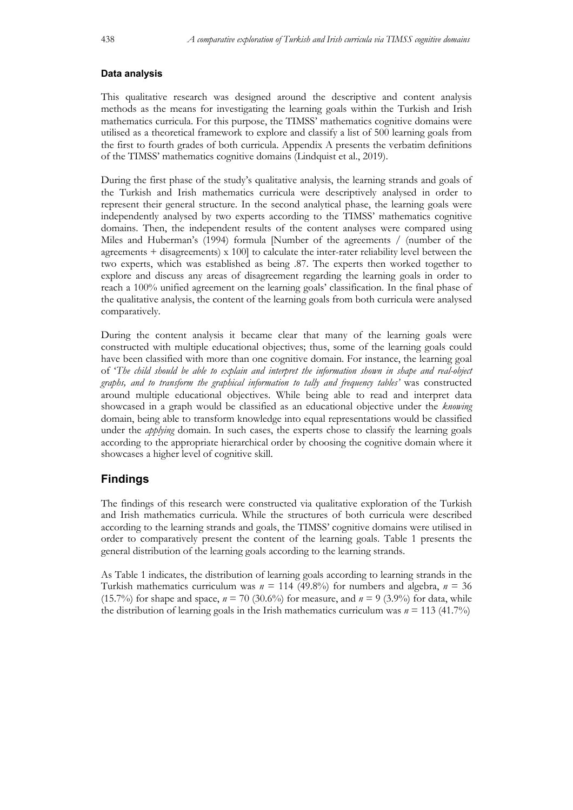#### **Data analysis**

This qualitative research was designed around the descriptive and content analysis methods as the means for investigating the learning goals within the Turkish and Irish mathematics curricula. For this purpose, the TIMSS' mathematics cognitive domains were utilised as a theoretical framework to explore and classify a list of 500 learning goals from the first to fourth grades of both curricula. Appendix A presents the verbatim definitions of the TIMSS' mathematics cognitive domains (Lindquist et al., 2019).

During the first phase of the study's qualitative analysis, the learning strands and goals of the Turkish and Irish mathematics curricula were descriptively analysed in order to represent their general structure. In the second analytical phase, the learning goals were independently analysed by two experts according to the TIMSS' mathematics cognitive domains. Then, the independent results of the content analyses were compared using Miles and Huberman's (1994) formula [Number of the agreements / (number of the agreements + disagreements) x 100] to calculate the inter-rater reliability level between the two experts, which was established as being .87. The experts then worked together to explore and discuss any areas of disagreement regarding the learning goals in order to reach a 100% unified agreement on the learning goals' classification. In the final phase of the qualitative analysis, the content of the learning goals from both curricula were analysed comparatively.

During the content analysis it became clear that many of the learning goals were constructed with multiple educational objectives; thus, some of the learning goals could have been classified with more than one cognitive domain. For instance, the learning goal of '*The child should be able to explain and interpret the information shown in shape and real-object graphs, and to transform the graphical information to tally and frequency tables'* was constructed around multiple educational objectives. While being able to read and interpret data showcased in a graph would be classified as an educational objective under the *knowing* domain, being able to transform knowledge into equal representations would be classified under the *applying* domain. In such cases, the experts chose to classify the learning goals according to the appropriate hierarchical order by choosing the cognitive domain where it showcases a higher level of cognitive skill.

## **Findings**

The findings of this research were constructed via qualitative exploration of the Turkish and Irish mathematics curricula. While the structures of both curricula were described according to the learning strands and goals, the TIMSS' cognitive domains were utilised in order to comparatively present the content of the learning goals. Table 1 presents the general distribution of the learning goals according to the learning strands.

As Table 1 indicates, the distribution of learning goals according to learning strands in the Turkish mathematics curriculum was *n* = 114 (49.8%) for numbers and algebra, *n* = 36 (15.7%) for shape and space,  $n = 70$  (30.6%) for measure, and  $n = 9$  (3.9%) for data, while the distribution of learning goals in the Irish mathematics curriculum was  $n = 113$  (41.7%)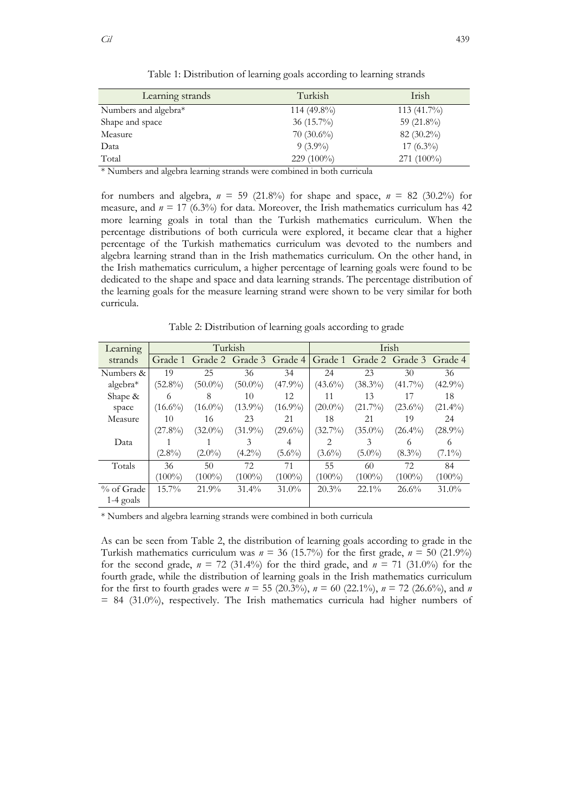| Learning strands     | Turkish       | Irish         |
|----------------------|---------------|---------------|
| Numbers and algebra* | $114(49.8\%)$ | 113 (41.7%)   |
| Shape and space      | 36 $(15.7\%)$ | 59 $(21.8\%)$ |
| Measure              | $70(30.6\%)$  | $82(30.2\%)$  |
| Data                 | $9(3.9\%)$    | $17(6.3\%)$   |
| Total                | $229(100\%)$  | $271(100\%)$  |

Table 1: Distribution of learning goals according to learning strands

\* Numbers and algebra learning strands were combined in both curricula

for numbers and algebra,  $n = 59$  (21.8%) for shape and space,  $n = 82$  (30.2%) for measure, and  $n = 17$  (6.3%) for data. Moreover, the Irish mathematics curriculum has 42 more learning goals in total than the Turkish mathematics curriculum. When the percentage distributions of both curricula were explored, it became clear that a higher percentage of the Turkish mathematics curriculum was devoted to the numbers and algebra learning strand than in the Irish mathematics curriculum. On the other hand, in the Irish mathematics curriculum, a higher percentage of learning goals were found to be dedicated to the shape and space and data learning strands. The percentage distribution of the learning goals for the measure learning strand were shown to be very similar for both curricula.

Table 2: Distribution of learning goals according to grade

| Learning    |            | Turkish    |            |            |            |            | Irish           |            |
|-------------|------------|------------|------------|------------|------------|------------|-----------------|------------|
| strands     | Grade 1    | Grade 2    | Grade 3    | Grade 4    | Grade 1    |            | Grade 2 Grade 3 | Grade 4    |
| Numbers &   | 19         | 25         | 36         | 34         | 24         | 23         | 30              | 36         |
| algebra $*$ | $(52.8\%)$ | $(50.0\%)$ | $(50.0\%)$ | $(47.9\%)$ | $(43.6\%)$ | $(38.3\%)$ | $(41.7\%)$      | $(42.9\%)$ |
| Shape &     | 6          | 8          | 10         | 12         | 11         | 13         | 17              | 18         |
| space       | $(16.6\%)$ | $(16.0\%)$ | $(13.9\%)$ | $(16.9\%)$ | $(20.0\%)$ | $(21.7\%)$ | $(23.6\%)$      | $(21.4\%)$ |
| Measure     | 10         | 16         | 23         | 21         | 18         | 21         | 19              | 24         |
|             | $(27.8\%)$ | $(32.0\%)$ | $(31.9\%)$ | $(29.6\%)$ | $(32.7\%)$ | $(35.0\%)$ | $(26.4\%)$      | $(28.9\%)$ |
| Data        |            |            | 3          | 4          | 2          | 3          | 6               | 6          |
|             | $(2.8\%)$  | $(2.0\%)$  | $(4.2\%)$  | $(5.6\%)$  | $(3.6\%)$  | $(5.0\%)$  | $(8.3\%)$       | $(7.1\%)$  |
| Totals      | 36         | 50         | 72.        | 71         | 55         | 60         | 72.             | 84         |
|             | $(100\%)$  | $(100\%)$  | $(100\%)$  | $(100\%)$  | $(100\%)$  | $(100\%)$  | $(100\%)$       | $(100\%)$  |
| % of Grade  | $15.7\%$   | 21.9%      | 31.4%      | $31.0\%$   | 20.3%      | $22.1\%$   | 26.6%           | $31.0\%$   |
| $1-4$ goals |            |            |            |            |            |            |                 |            |

\* Numbers and algebra learning strands were combined in both curricula

As can be seen from Table 2, the distribution of learning goals according to grade in the Turkish mathematics curriculum was  $n = 36$  (15.7%) for the first grade,  $n = 50$  (21.9%) for the second grade,  $n = 72$  (31.4%) for the third grade, and  $n = 71$  (31.0%) for the fourth grade, while the distribution of learning goals in the Irish mathematics curriculum for the first to fourth grades were  $n = 55$  (20.3%),  $n = 60$  (22.1%),  $n = 72$  (26.6%), and *n*  $= 84$  (31.0%), respectively. The Irish mathematics curricula had higher numbers of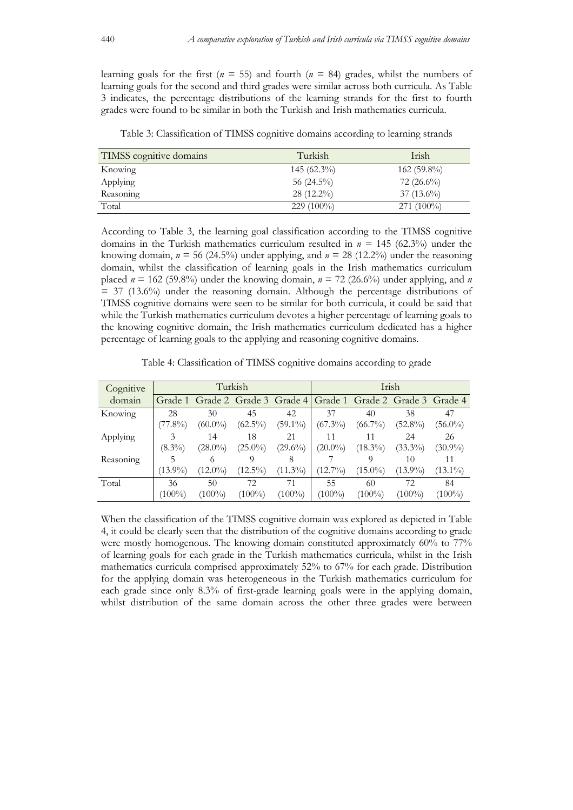learning goals for the first ( $n = 55$ ) and fourth ( $n = 84$ ) grades, whilst the numbers of learning goals for the second and third grades were similar across both curricula. As Table 3 indicates, the percentage distributions of the learning strands for the first to fourth grades were found to be similar in both the Turkish and Irish mathematics curricula.

| TIMSS cognitive domains | Turkish       | Irish         |
|-------------------------|---------------|---------------|
| Knowing                 | $145(62.3\%)$ | $162(59.8\%)$ |
| Applying                | 56 $(24.5\%)$ | $72(26.6\%)$  |
| Reasoning               | $28(12.2\%)$  | $37(13.6\%)$  |
| Total                   | 229 (100%)    | $271(100\%)$  |

Table 3: Classification of TIMSS cognitive domains according to learning strands

According to Table 3, the learning goal classification according to the TIMSS cognitive domains in the Turkish mathematics curriculum resulted in *n* = 145 (62.3%) under the knowing domain,  $n = 56$  (24.5%) under applying, and  $n = 28$  (12.2%) under the reasoning domain, whilst the classification of learning goals in the Irish mathematics curriculum placed  $n = 162$  (59.8%) under the knowing domain,  $n = 72$  (26.6%) under applying, and *n*  $=$  37 (13.6%) under the reasoning domain. Although the percentage distributions of TIMSS cognitive domains were seen to be similar for both curricula, it could be said that while the Turkish mathematics curriculum devotes a higher percentage of learning goals to the knowing cognitive domain, the Irish mathematics curriculum dedicated has a higher percentage of learning goals to the applying and reasoning cognitive domains.

Table 4: Classification of TIMSS cognitive domains according to grade

| Cognitive |            |                                                                 | Turkish    |            |            |            | Irish      |            |
|-----------|------------|-----------------------------------------------------------------|------------|------------|------------|------------|------------|------------|
| domain    |            | Grade 1 Grade 2 Grade 3 Grade 4 Grade 1 Grade 2 Grade 3 Grade 4 |            |            |            |            |            |            |
| Knowing   | 28         | 30                                                              | 45         | 42         | 37         | 40         | 38         | 47         |
|           | $(77.8\%)$ | $(60.0\%)$                                                      | $(62.5\%)$ | $(59.1\%)$ | $(67.3\%)$ | $(66.7\%)$ | $(52.8\%)$ | $(56.0\%)$ |
| Applying  |            | 14                                                              | 18         | 21         |            |            | 24         | 26         |
|           | $(8.3\%)$  | $(28.0\%)$                                                      | $(25.0\%)$ | $(29.6\%)$ | $(20.0\%)$ | $(18.3\%)$ | $(33.3\%)$ | $(30.9\%)$ |
| Reasoning |            | 6                                                               |            | 8          |            |            | 10         | 11         |
|           | $(13.9\%)$ | $(12.0\%)$                                                      | $(12.5\%)$ | $(11.3\%)$ | $(12.7\%)$ | $(15.0\%)$ | $(13.9\%)$ | $(13.1\%)$ |
| Total     | 36         | 50                                                              | 72         |            | 55         | 60         | 72.        | 84         |
|           | $(100\%)$  | $(100\%)$                                                       | $(100\%)$  | $(100\%)$  | $(100\%)$  | $(100\%)$  | $(100\%)$  | $(100\%)$  |

When the classification of the TIMSS cognitive domain was explored as depicted in Table 4, it could be clearly seen that the distribution of the cognitive domains according to grade were mostly homogenous. The knowing domain constituted approximately 60% to 77% of learning goals for each grade in the Turkish mathematics curricula, whilst in the Irish mathematics curricula comprised approximately 52% to 67% for each grade. Distribution for the applying domain was heterogeneous in the Turkish mathematics curriculum for each grade since only 8.3% of first-grade learning goals were in the applying domain, whilst distribution of the same domain across the other three grades were between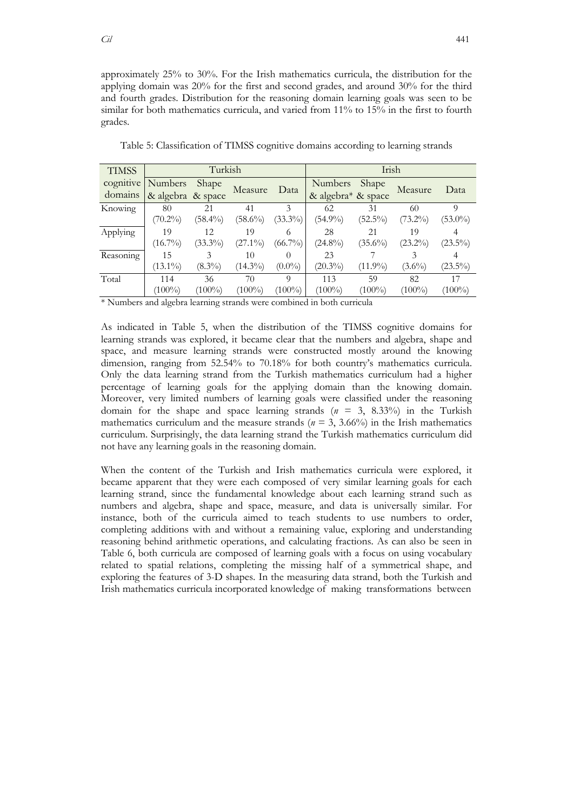approximately 25% to 30%. For the Irish mathematics curricula, the distribution for the applying domain was 20% for the first and second grades, and around 30% for the third and fourth grades. Distribution for the reasoning domain learning goals was seen to be similar for both mathematics curricula, and varied from 11% to 15% in the first to fourth grades.

| <b>TIMSS</b>         |                   | Turkish    |            |            |                    | Irish      |            |            |
|----------------------|-------------------|------------|------------|------------|--------------------|------------|------------|------------|
| cognitive            | <b>Numbers</b>    | Shape      | Measure    | Data       | <b>Numbers</b>     | Shape      | Measure    | Data       |
| domains              | & algebra & space |            |            |            | & algebra* & space |            |            |            |
| Knowing              | 80                | 21         | 41         |            | 62                 | 31         | 60         |            |
|                      | $(70.2\%)$        | $(58.4\%)$ | $(58.6\%)$ | $(33.3\%)$ | $(54.9\%)$         | $(52.5\%)$ | $(73.2\%)$ | $(53.0\%)$ |
| Applying             | 19                | 12         | 19         | 6          | 28                 | 21         | 19         |            |
|                      | $(16.7\%)$        | $(33.3\%)$ | $(27.1\%)$ | $(66.7\%)$ | $(24.8\%)$         | $(35.6\%)$ | $(23.2\%)$ | $(23.5\%)$ |
| Reasoning            | 15                | 3          | 10         | $\Omega$   | 23                 |            |            |            |
|                      | $(13.1\%)$        | $(8.3\%)$  | $(14.3\%)$ | $(0.0\%)$  | $(20.3\%)$         | $(11.9\%)$ | $(3.6\%)$  | $(23.5\%)$ |
| Total                | 114               | 36         | 70         | Q          | 113                | 59         | 82         | 17         |
|                      | $(100\%)$         | $(100\%)$  | $(100\%)$  | $(100\%)$  | $(100\%)$          | $(100\%)$  | $(100\%)$  | $(100\%)$  |
| $\sim$ $\sim$ $\sim$ |                   |            |            |            |                    |            |            |            |

Table 5: Classification of TIMSS cognitive domains according to learning strands

\* Numbers and algebra learning strands were combined in both curricula

As indicated in Table 5, when the distribution of the TIMSS cognitive domains for learning strands was explored, it became clear that the numbers and algebra, shape and space, and measure learning strands were constructed mostly around the knowing dimension, ranging from 52.54% to 70.18% for both country's mathematics curricula. Only the data learning strand from the Turkish mathematics curriculum had a higher percentage of learning goals for the applying domain than the knowing domain. Moreover, very limited numbers of learning goals were classified under the reasoning domain for the shape and space learning strands (*n* = 3, 8.33%) in the Turkish mathematics curriculum and the measure strands ( $n = 3$ , 3.66%) in the Irish mathematics curriculum. Surprisingly, the data learning strand the Turkish mathematics curriculum did not have any learning goals in the reasoning domain.

When the content of the Turkish and Irish mathematics curricula were explored, it became apparent that they were each composed of very similar learning goals for each learning strand, since the fundamental knowledge about each learning strand such as numbers and algebra, shape and space, measure, and data is universally similar. For instance, both of the curricula aimed to teach students to use numbers to order, completing additions with and without a remaining value, exploring and understanding reasoning behind arithmetic operations, and calculating fractions. As can also be seen in Table 6, both curricula are composed of learning goals with a focus on using vocabulary related to spatial relations, completing the missing half of a symmetrical shape, and exploring the features of 3-D shapes. In the measuring data strand, both the Turkish and Irish mathematics curricula incorporated knowledge of making transformations between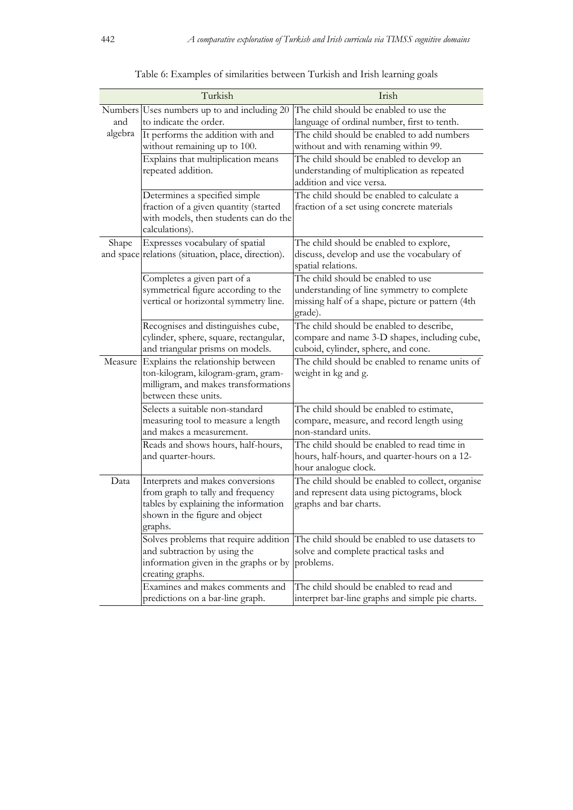|                             | Turkish                                                                                                                                                    | Irish                                                                                                                                           |
|-----------------------------|------------------------------------------------------------------------------------------------------------------------------------------------------------|-------------------------------------------------------------------------------------------------------------------------------------------------|
| Numbers <sup> </sup><br>and | Uses numbers up to and including 20<br>to indicate the order.                                                                                              | The child should be enabled to use the<br>language of ordinal number, first to tenth.                                                           |
| algebra                     | It performs the addition with and<br>without remaining up to 100.                                                                                          | The child should be enabled to add numbers<br>without and with renaming within 99.                                                              |
|                             | Explains that multiplication means<br>repeated addition.                                                                                                   | The child should be enabled to develop an<br>understanding of multiplication as repeated<br>addition and vice versa.                            |
|                             | Determines a specified simple<br>fraction of a given quantity (started<br>with models, then students can do the<br>calculations).                          | The child should be enabled to calculate a<br>fraction of a set using concrete materials                                                        |
| Shape                       | Expresses vocabulary of spatial<br>and space relations (situation, place, direction).                                                                      | The child should be enabled to explore,<br>discuss, develop and use the vocabulary of<br>spatial relations.                                     |
|                             | Completes a given part of a<br>symmetrical figure according to the<br>vertical or horizontal symmetry line.                                                | The child should be enabled to use<br>understanding of line symmetry to complete<br>missing half of a shape, picture or pattern (4th<br>grade). |
|                             | Recognises and distinguishes cube,<br>cylinder, sphere, square, rectangular,<br>and triangular prisms on models.                                           | The child should be enabled to describe,<br>compare and name 3-D shapes, including cube,<br>cuboid, cylinder, sphere, and cone.                 |
|                             | Measure Explains the relationship between<br>ton-kilogram, kilogram-gram, gram-<br>milligram, and makes transformations<br>between these units.            | The child should be enabled to rename units of<br>weight in kg and g.                                                                           |
|                             | Selects a suitable non-standard<br>measuring tool to measure a length<br>and makes a measurement.                                                          | The child should be enabled to estimate,<br>compare, measure, and record length using<br>non-standard units.                                    |
|                             | Reads and shows hours, half-hours,<br>and quarter-hours.                                                                                                   | The child should be enabled to read time in<br>hours, half-hours, and quarter-hours on a 12-<br>hour analogue clock.                            |
| Data                        | Interprets and makes conversions<br>from graph to tally and frequency<br>tables by explaining the information<br>shown in the figure and object<br>graphs. | The child should be enabled to collect, organise<br>and represent data using pictograms, block<br>graphs and bar charts.                        |
|                             | and subtraction by using the<br>information given in the graphs or by<br>creating graphs.                                                                  | Solves problems that require addition The child should be enabled to use datasets to<br>solve and complete practical tasks and<br>problems.     |
|                             | Examines and makes comments and<br>predictions on a bar-line graph.                                                                                        | The child should be enabled to read and<br>interpret bar-line graphs and simple pie charts.                                                     |

| Table 6: Examples of similarities between Turkish and Irish learning goals |  |  |  |
|----------------------------------------------------------------------------|--|--|--|
|                                                                            |  |  |  |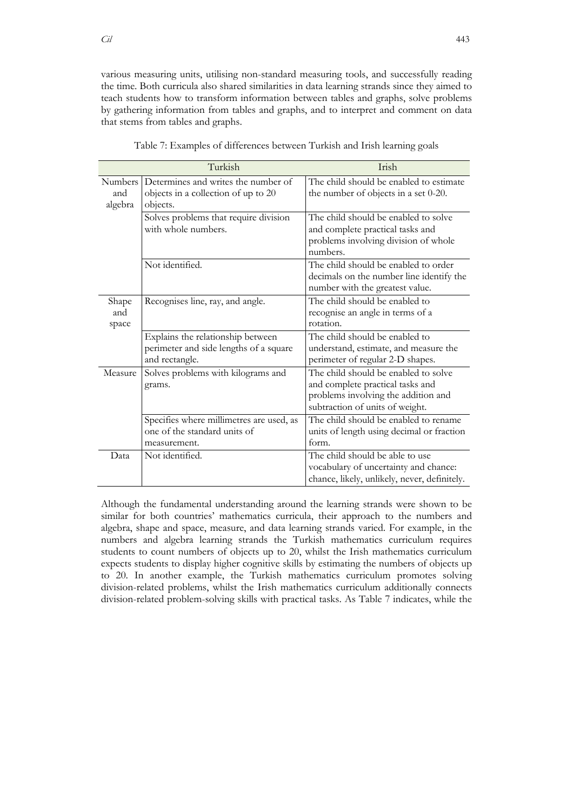various measuring units, utilising non-standard measuring tools, and successfully reading the time. Both curricula also shared similarities in data learning strands since they aimed to teach students how to transform information between tables and graphs, solve problems by gathering information from tables and graphs, and to interpret and comment on data that stems from tables and graphs.

|                                  | Turkish                                                                                       | Irish                                                                                                                                              |
|----------------------------------|-----------------------------------------------------------------------------------------------|----------------------------------------------------------------------------------------------------------------------------------------------------|
| <b>Numbers</b><br>and<br>algebra | Determines and writes the number of<br>objects in a collection of up to 20<br>objects.        | The child should be enabled to estimate<br>the number of objects in a set 0-20.                                                                    |
|                                  | Solves problems that require division<br>with whole numbers.                                  | The child should be enabled to solve<br>and complete practical tasks and<br>problems involving division of whole<br>numbers.                       |
|                                  | Not identified.                                                                               | The child should be enabled to order<br>decimals on the number line identify the<br>number with the greatest value.                                |
| Shape<br>and<br>space            | Recognises line, ray, and angle.                                                              | The child should be enabled to<br>recognise an angle in terms of a<br>rotation.                                                                    |
|                                  | Explains the relationship between<br>perimeter and side lengths of a square<br>and rectangle. | The child should be enabled to<br>understand, estimate, and measure the<br>perimeter of regular 2-D shapes.                                        |
| Measure                          | Solves problems with kilograms and<br>grams.                                                  | The child should be enabled to solve<br>and complete practical tasks and<br>problems involving the addition and<br>subtraction of units of weight. |
|                                  | Specifies where millimetres are used, as<br>one of the standard units of<br>measurement.      | The child should be enabled to rename<br>units of length using decimal or fraction<br>form.                                                        |
| Data                             | Not identified.                                                                               | The child should be able to use<br>vocabulary of uncertainty and chance:<br>chance, likely, unlikely, never, definitely.                           |

Table 7: Examples of differences between Turkish and Irish learning goals

Although the fundamental understanding around the learning strands were shown to be similar for both countries' mathematics curricula, their approach to the numbers and algebra, shape and space, measure, and data learning strands varied. For example, in the numbers and algebra learning strands the Turkish mathematics curriculum requires students to count numbers of objects up to 20, whilst the Irish mathematics curriculum expects students to display higher cognitive skills by estimating the numbers of objects up to 20. In another example, the Turkish mathematics curriculum promotes solving division-related problems, whilst the Irish mathematics curriculum additionally connects division-related problem-solving skills with practical tasks. As Table 7 indicates, while the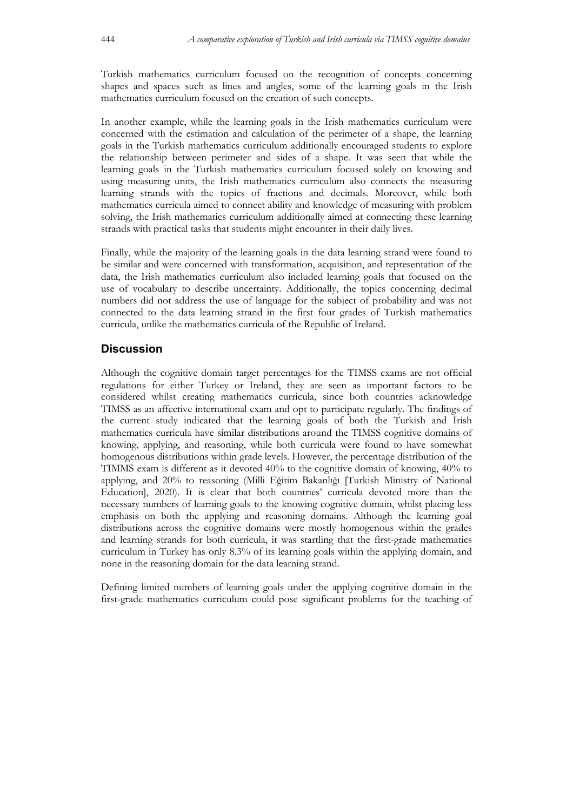Turkish mathematics curriculum focused on the recognition of concepts concerning shapes and spaces such as lines and angles, some of the learning goals in the Irish mathematics curriculum focused on the creation of such concepts.

In another example, while the learning goals in the Irish mathematics curriculum were concerned with the estimation and calculation of the perimeter of a shape, the learning goals in the Turkish mathematics curriculum additionally encouraged students to explore the relationship between perimeter and sides of a shape. It was seen that while the learning goals in the Turkish mathematics curriculum focused solely on knowing and using measuring units, the Irish mathematics curriculum also connects the measuring learning strands with the topics of fractions and decimals. Moreover, while both mathematics curricula aimed to connect ability and knowledge of measuring with problem solving, the Irish mathematics curriculum additionally aimed at connecting these learning strands with practical tasks that students might encounter in their daily lives.

Finally, while the majority of the learning goals in the data learning strand were found to be similar and were concerned with transformation, acquisition, and representation of the data, the Irish mathematics curriculum also included learning goals that focused on the use of vocabulary to describe uncertainty. Additionally, the topics concerning decimal numbers did not address the use of language for the subject of probability and was not connected to the data learning strand in the first four grades of Turkish mathematics curricula, unlike the mathematics curricula of the Republic of Ireland.

## **Discussion**

Although the cognitive domain target percentages for the TIMSS exams are not official regulations for either Turkey or Ireland, they are seen as important factors to be considered whilst creating mathematics curricula, since both countries acknowledge TIMSS as an affective international exam and opt to participate regularly. The findings of the current study indicated that the learning goals of both the Turkish and Irish mathematics curricula have similar distributions around the TIMSS cognitive domains of knowing, applying, and reasoning, while both curricula were found to have somewhat homogenous distributions within grade levels. However, the percentage distribution of the TIMMS exam is different as it devoted 40% to the cognitive domain of knowing, 40% to applying, and 20% to reasoning (Milli Eğitim Bakanlığı [Turkish Ministry of National Education], 2020). It is clear that both countries' curricula devoted more than the necessary numbers of learning goals to the knowing cognitive domain, whilst placing less emphasis on both the applying and reasoning domains. Although the learning goal distributions across the cognitive domains were mostly homogenous within the grades and learning strands for both curricula, it was startling that the first-grade mathematics curriculum in Turkey has only 8.3% of its learning goals within the applying domain, and none in the reasoning domain for the data learning strand.

Defining limited numbers of learning goals under the applying cognitive domain in the first-grade mathematics curriculum could pose significant problems for the teaching of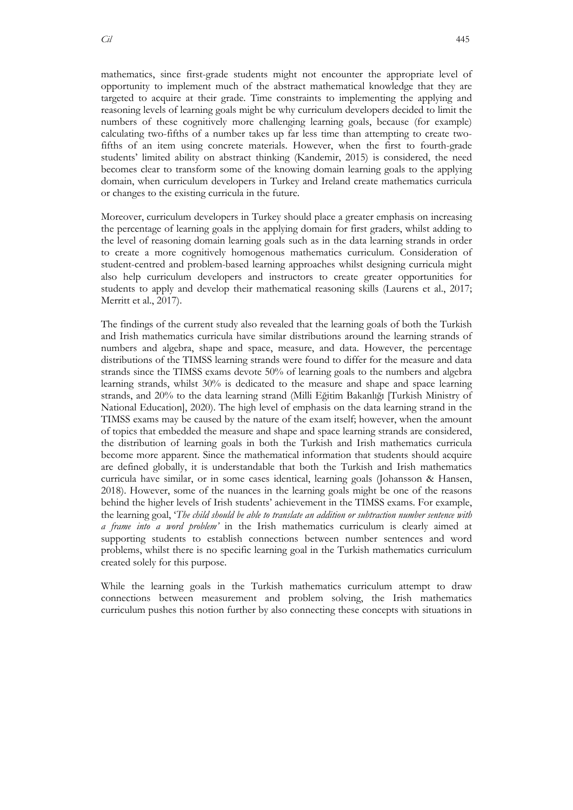mathematics, since first-grade students might not encounter the appropriate level of opportunity to implement much of the abstract mathematical knowledge that they are targeted to acquire at their grade. Time constraints to implementing the applying and reasoning levels of learning goals might be why curriculum developers decided to limit the numbers of these cognitively more challenging learning goals, because (for example) calculating two-fifths of a number takes up far less time than attempting to create twofifths of an item using concrete materials. However, when the first to fourth-grade students' limited ability on abstract thinking (Kandemir, 2015) is considered, the need becomes clear to transform some of the knowing domain learning goals to the applying domain, when curriculum developers in Turkey and Ireland create mathematics curricula or changes to the existing curricula in the future.

Moreover, curriculum developers in Turkey should place a greater emphasis on increasing the percentage of learning goals in the applying domain for first graders, whilst adding to the level of reasoning domain learning goals such as in the data learning strands in order to create a more cognitively homogenous mathematics curriculum. Consideration of student-centred and problem-based learning approaches whilst designing curricula might also help curriculum developers and instructors to create greater opportunities for students to apply and develop their mathematical reasoning skills (Laurens et al., 2017; Merritt et al., 2017).

The findings of the current study also revealed that the learning goals of both the Turkish and Irish mathematics curricula have similar distributions around the learning strands of numbers and algebra, shape and space, measure, and data. However, the percentage distributions of the TIMSS learning strands were found to differ for the measure and data strands since the TIMSS exams devote 50% of learning goals to the numbers and algebra learning strands, whilst 30% is dedicated to the measure and shape and space learning strands, and 20% to the data learning strand (Milli Eğitim Bakanlığı [Turkish Ministry of National Education], 2020). The high level of emphasis on the data learning strand in the TIMSS exams may be caused by the nature of the exam itself; however, when the amount of topics that embedded the measure and shape and space learning strands are considered, the distribution of learning goals in both the Turkish and Irish mathematics curricula become more apparent. Since the mathematical information that students should acquire are defined globally, it is understandable that both the Turkish and Irish mathematics curricula have similar, or in some cases identical, learning goals (Johansson & Hansen, 2018). However, some of the nuances in the learning goals might be one of the reasons behind the higher levels of Irish students' achievement in the TIMSS exams. For example, the learning goal, '*The child should be able to translate an addition or subtraction number sentence with a frame into a word problem'* in the Irish mathematics curriculum is clearly aimed at supporting students to establish connections between number sentences and word problems, whilst there is no specific learning goal in the Turkish mathematics curriculum created solely for this purpose.

While the learning goals in the Turkish mathematics curriculum attempt to draw connections between measurement and problem solving, the Irish mathematics curriculum pushes this notion further by also connecting these concepts with situations in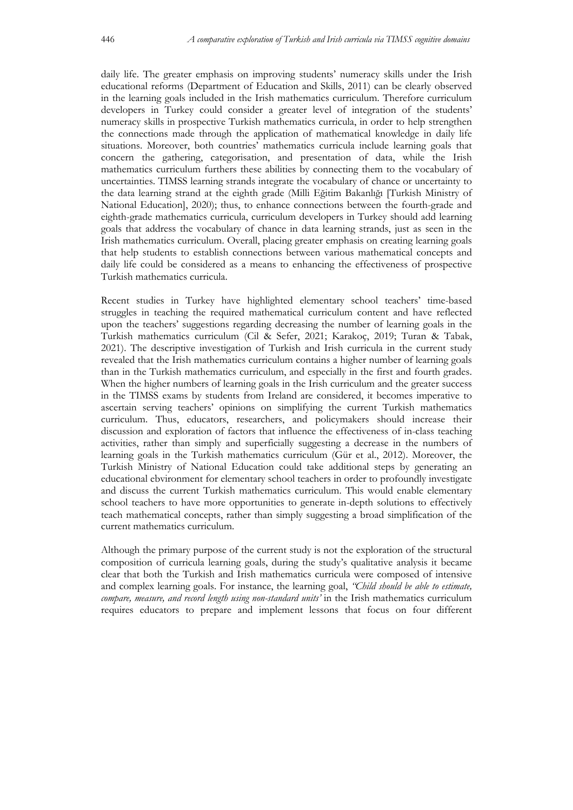daily life. The greater emphasis on improving students' numeracy skills under the Irish educational reforms (Department of Education and Skills, 2011) can be clearly observed in the learning goals included in the Irish mathematics curriculum. Therefore curriculum developers in Turkey could consider a greater level of integration of the students' numeracy skills in prospective Turkish mathematics curricula, in order to help strengthen the connections made through the application of mathematical knowledge in daily life situations. Moreover, both countries' mathematics curricula include learning goals that concern the gathering, categorisation, and presentation of data, while the Irish mathematics curriculum furthers these abilities by connecting them to the vocabulary of uncertainties. TIMSS learning strands integrate the vocabulary of chance or uncertainty to the data learning strand at the eighth grade (Milli Eğitim Bakanlığı [Turkish Ministry of National Education], 2020); thus, to enhance connections between the fourth-grade and eighth-grade mathematics curricula, curriculum developers in Turkey should add learning goals that address the vocabulary of chance in data learning strands, just as seen in the Irish mathematics curriculum. Overall, placing greater emphasis on creating learning goals that help students to establish connections between various mathematical concepts and daily life could be considered as a means to enhancing the effectiveness of prospective Turkish mathematics curricula.

Recent studies in Turkey have highlighted elementary school teachers' time-based struggles in teaching the required mathematical curriculum content and have reflected upon the teachers' suggestions regarding decreasing the number of learning goals in the Turkish mathematics curriculum (Cil & Sefer, 2021; Karakoç, 2019; Turan & Tabak, 2021). The descriptive investigation of Turkish and Irish curricula in the current study revealed that the Irish mathematics curriculum contains a higher number of learning goals than in the Turkish mathematics curriculum, and especially in the first and fourth grades. When the higher numbers of learning goals in the Irish curriculum and the greater success in the TIMSS exams by students from Ireland are considered, it becomes imperative to ascertain serving teachers' opinions on simplifying the current Turkish mathematics curriculum. Thus, educators, researchers, and policymakers should increase their discussion and exploration of factors that influence the effectiveness of in-class teaching activities, rather than simply and superficially suggesting a decrease in the numbers of learning goals in the Turkish mathematics curriculum (Gür et al., 2012). Moreover, the Turkish Ministry of National Education could take additional steps by generating an educational ebvironment for elementary school teachers in order to profoundly investigate and discuss the current Turkish mathematics curriculum. This would enable elementary school teachers to have more opportunities to generate in-depth solutions to effectively teach mathematical concepts, rather than simply suggesting a broad simplification of the current mathematics curriculum.

Although the primary purpose of the current study is not the exploration of the structural composition of curricula learning goals, during the study's qualitative analysis it became clear that both the Turkish and Irish mathematics curricula were composed of intensive and complex learning goals. For instance, the learning goal, *"Child should be able to estimate, compare, measure, and record length using non-standard units'* in the Irish mathematics curriculum requires educators to prepare and implement lessons that focus on four different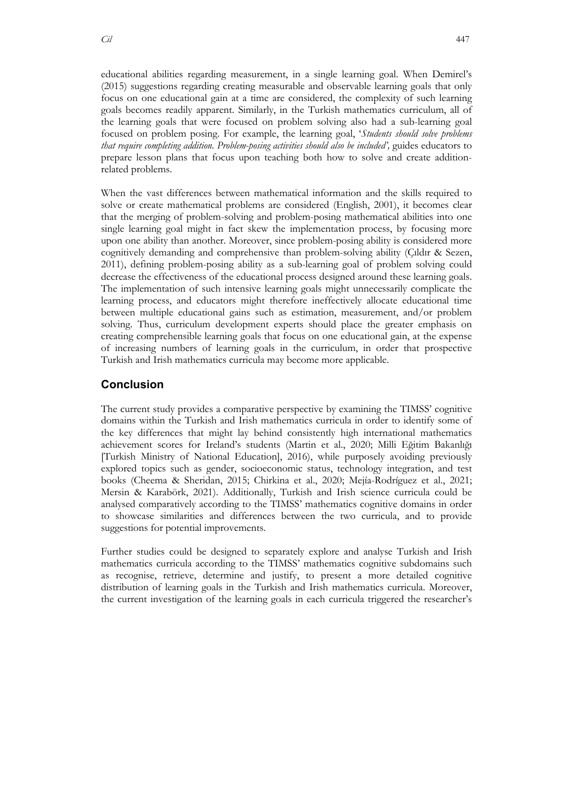educational abilities regarding measurement, in a single learning goal. When Demirel's (2015) suggestions regarding creating measurable and observable learning goals that only focus on one educational gain at a time are considered, the complexity of such learning goals becomes readily apparent. Similarly, in the Turkish mathematics curriculum, all of the learning goals that were focused on problem solving also had a sub-learning goal focused on problem posing. For example, the learning goal, '*Students should solve problems that require completing addition. Problem-posing activities should also be included',* guides educators to prepare lesson plans that focus upon teaching both how to solve and create additionrelated problems.

When the vast differences between mathematical information and the skills required to solve or create mathematical problems are considered (English, 2001), it becomes clear that the merging of problem-solving and problem-posing mathematical abilities into one single learning goal might in fact skew the implementation process, by focusing more upon one ability than another. Moreover, since problem-posing ability is considered more cognitively demanding and comprehensive than problem-solving ability (Çıldır & Sezen, 2011), defining problem-posing ability as a sub-learning goal of problem solving could decrease the effectiveness of the educational process designed around these learning goals. The implementation of such intensive learning goals might unnecessarily complicate the learning process, and educators might therefore ineffectively allocate educational time between multiple educational gains such as estimation, measurement, and/or problem solving. Thus, curriculum development experts should place the greater emphasis on creating comprehensible learning goals that focus on one educational gain, at the expense of increasing numbers of learning goals in the curriculum, in order that prospective Turkish and Irish mathematics curricula may become more applicable.

## **Conclusion**

The current study provides a comparative perspective by examining the TIMSS' cognitive domains within the Turkish and Irish mathematics curricula in order to identify some of the key differences that might lay behind consistently high international mathematics achievement scores for Ireland's students (Martin et al., 2020; Milli Eğitim Bakanlığı [Turkish Ministry of National Education], 2016), while purposely avoiding previously explored topics such as gender, socioeconomic status, technology integration, and test books (Cheema & Sheridan, 2015; Chirkina et al., 2020; Mejía-Rodríguez et al., 2021; Mersin & Karabörk, 2021). Additionally, Turkish and Irish science curricula could be analysed comparatively according to the TIMSS' mathematics cognitive domains in order to showcase similarities and differences between the two curricula, and to provide suggestions for potential improvements.

Further studies could be designed to separately explore and analyse Turkish and Irish mathematics curricula according to the TIMSS' mathematics cognitive subdomains such as recognise, retrieve, determine and justify, to present a more detailed cognitive distribution of learning goals in the Turkish and Irish mathematics curricula. Moreover, the current investigation of the learning goals in each curricula triggered the researcher's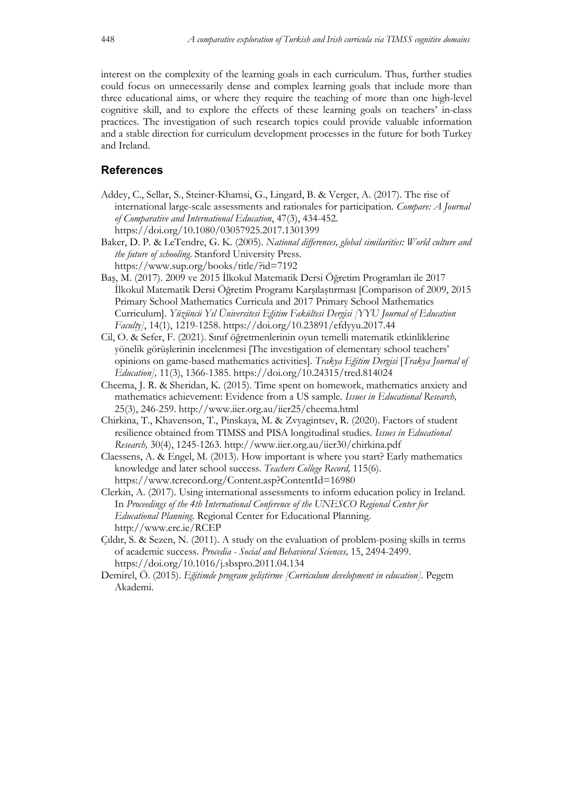interest on the complexity of the learning goals in each curriculum. Thus, further studies could focus on unnecessarily dense and complex learning goals that include more than three educational aims, or where they require the teaching of more than one high-level cognitive skill, and to explore the effects of these learning goals on teachers' in-class practices. The investigation of such research topics could provide valuable information and a stable direction for curriculum development processes in the future for both Turkey and Ireland.

## **References**

- Addey, C., Sellar, S., Steiner-Khamsi, G., Lingard, B. & Verger, A. (2017). The rise of international large-scale assessments and rationales for participation. *Compare: A Journal of Comparative and International Education*, 47(3), 434-452. https://doi.org/10.1080/03057925.2017.1301399
- Baker, D. P. & LeTendre, G. K. (2005). *National differences, global similarities: World culture and the future of schooling*. Stanford University Press. https://www.sup.org/books/title/?id=7192
- Baş, M. (2017). 2009 ve 2015 İlkokul Matematik Dersi Öğretim Programları ile 2017 İlkokul Matematik Dersi Öğretim Programı Karşılaştırması [Comparison of 2009, 2015 Primary School Mathematics Curricula and 2017 Primary School Mathematics Curriculum]. *Yüzüncü Yıl Üniversitesi Eğitim Fakültesi Dergisi [YYU Journal of Education Faculty]*, 14(1), 1219-1258. https://doi.org/10.23891/efdyyu.2017.44
- Cil, O. & Sefer, F. (2021). Sınıf öğretmenlerinin oyun temelli matematik etkinliklerine yönelik görüşlerinin incelenmesi [The investigation of elementary school teachers' opinions on game-based mathematics activities]. *Trakya Eğitim Dergisi* [*Trakya Journal of Education],* 11(3), 1366-1385. https://doi.org/10.24315/tred.814024
- Cheema, J. R. & Sheridan, K. (2015). Time spent on homework, mathematics anxiety and mathematics achievement: Evidence from a US sample*. Issues in Educational Research,* 25(3), 246-259. http://www.iier.org.au/iier25/cheema.html
- Chirkina, T., Khavenson, T., Pinskaya, M. & Zvyagintsev, R. (2020). Factors of student resilience obtained from TIMSS and PISA longitudinal studies. *Issues in Educational Research,* 30(4), 1245-1263. http://www.iier.org.au/iier30/chirkina.pdf
- Claessens, A. & Engel, M. (2013). How important is where you start? Early mathematics knowledge and later school success. *Teachers College Record,* 115(6). https://www.tcrecord.org/Content.asp?ContentId=16980
- Clerkin, A. (2017). Using international assessments to inform education policy in Ireland. In *Proceedings of the 4th International Conference of the UNESCO Regional Center for Educational Planning*. Regional Center for Educational Planning. http://www.erc.ie/RCEP
- Çıldır, S. & Sezen, N. (2011). A study on the evaluation of problem-posing skills in terms of academic success. *Procedia - Social and Behavioral Sciences,* 15, 2494-2499. https://doi.org/10.1016/j.sbspro.2011.04.134
- Demirel, Ö. (2015). *Eğitimde program geliştirme [Curriculum development in education]*. Pegem Akademi.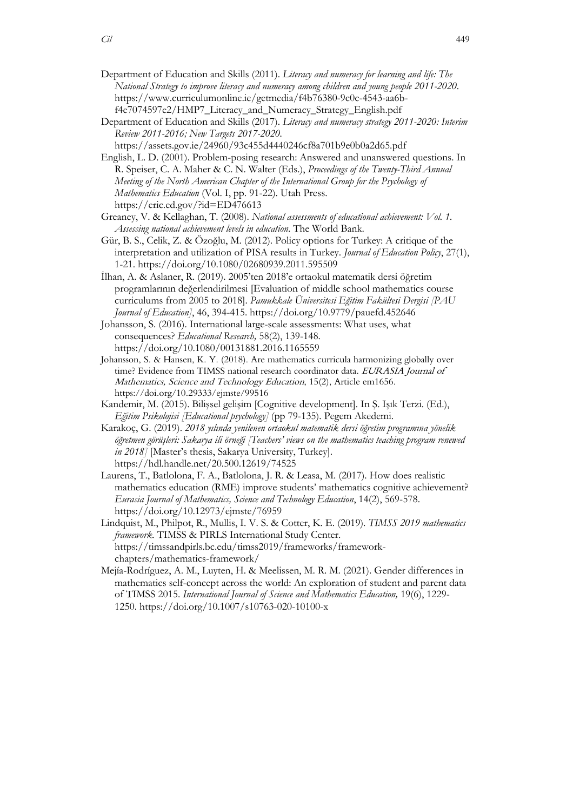- Department of Education and Skills (2011). *Literacy and numeracy for learning and life: The National Strategy to improve literacy and numeracy among children and young people 2011-2020*. https://www.curriculumonline.ie/getmedia/f4b76380-9c0c-4543-aa6bf4e7074597e2/HMP7\_Literacy\_and\_Numeracy\_Strategy\_English.pdf
- Department of Education and Skills (2017). *Literacy and numeracy strategy 2011-2020: Interim Review 2011-2016; New Targets 2017-2020.* https://assets.gov.ie/24960/93c455d4440246cf8a701b9e0b0a2d65.pdf
- English, L. D. (2001). Problem-posing research: Answered and unanswered questions. In R. Speiser, C. A. Maher & C. N. Walter (Eds.), *Proceedings of the Twenty-Third Annual Meeting of the North American Chapter of the International Group for the Psychology of Mathematics Education* (Vol. I, pp. 91-22). Utah Press. https://eric.ed.gov/?id=ED476613
- Greaney, V. & Kellaghan, T. (2008). *National assessments of educational achievement: Vol. 1. Assessing national achievement levels in education*. The World Bank.
- Gür, B. S., Celik, Z. & Özoğlu, M. (2012). Policy options for Turkey: A critique of the interpretation and utilization of PISA results in Turkey. *Journal of Education Policy*, 27(1), 1-21. https://doi.org/10.1080/02680939.2011.595509
- İlhan, A. & Aslaner, R. (2019). 2005'ten 2018'e ortaokul matematik dersi öğretim programlarının değerlendirilmesi [Evaluation of middle school mathematics course curriculums from 2005 to 2018]. *Pamukkale Üniversitesi Eğitim Fakültesi Dergisi [PAU Journal of Education]*, 46, 394-415. https://doi.org/10.9779/pauefd.452646
- Johansson, S. (2016). International large-scale assessments: What uses, what consequences? *Educational Research,* 58(2), 139-148. https://doi.org/10.1080/00131881.2016.1165559
- Johansson, S. & Hansen, K. Y. (2018). Are mathematics curricula harmonizing globally over time? Evidence from TIMSS national research coordinator data. EURASIA Journal of Mathematics, Science and Technology Education, 15(2), Article em1656. https://doi.org/10.29333/ejmste/99516
- Kandemir, M. (2015). Bilişsel gelişim [Cognitive development]. In Ş. Işık Terzi. (Ed.), *Eğitim Psikolojisi [Educational psychology]* (pp 79-135). Pegem Akedemi.
- Karakoç, G. (2019). *2018 yılında yenilenen ortaokul matematik dersi öğretim programına yönelik öğretmen görüşleri: Sakarya ili örneği [Teachers' views on the mathematics teaching program renewed in 2018]* [Master's thesis, Sakarya University, Turkey]. https://hdl.handle.net/20.500.12619/74525
- Laurens, T., Batlolona, F. A., Batlolona, J. R. & Leasa, M. (2017). How does realistic mathematics education (RME) improve students' mathematics cognitive achievement? *Eurasia Journal of Mathematics, Science and Technology Education*, 14(2), 569-578. https://doi.org/10.12973/ejmste/76959
- Lindquist, M., Philpot, R., Mullis, I. V. S. & Cotter, K. E. (2019). *TIMSS 2019 mathematics framework.* TIMSS & PIRLS International Study Center. https://timssandpirls.bc.edu/timss2019/frameworks/frameworkchapters/mathematics-framework/
- Mejía-Rodríguez, A. M., Luyten, H. & Meelissen, M. R. M. (2021). Gender differences in mathematics self-concept across the world: An exploration of student and parent data of TIMSS 2015. *International Journal of Science and Mathematics Education,* 19(6), 1229- 1250. https://doi.org/10.1007/s10763-020-10100-x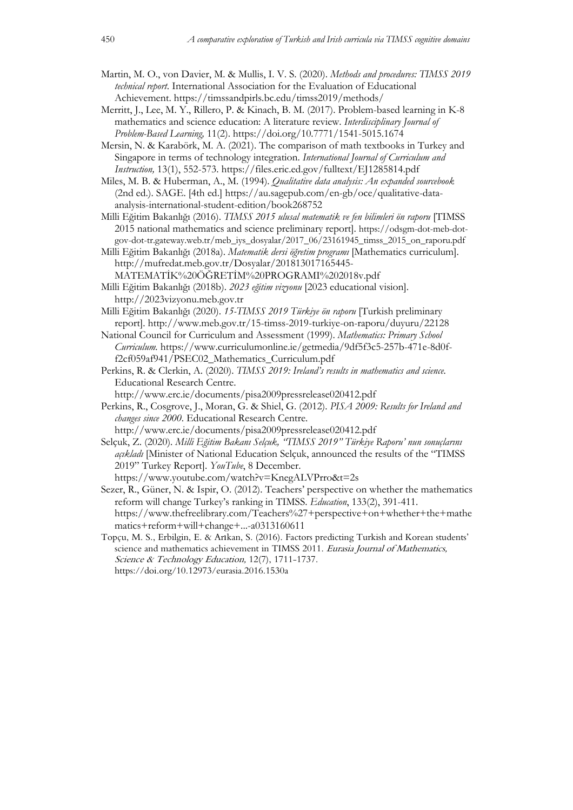- Martin, M. O., von Davier, M. & Mullis, I. V. S. (2020). *Methods and procedures: TIMSS 2019 technical report*. International Association for the Evaluation of Educational Achievement. https://timssandpirls.bc.edu/timss2019/methods/
- Merritt, J., Lee, M. Y., Rillero, P. & Kinach, B. M. (2017). Problem-based learning in K-8 mathematics and science education: A literature review. *Interdisciplinary Journal of Problem-Based Learning,* 11(2). https://doi.org/10.7771/1541-5015.1674
- Mersin, N. & Karabörk, M. A. (2021). The comparison of math textbooks in Turkey and Singapore in terms of technology integration. *International Journal of Curriculum and Instruction,* 13(1), 552-573. https://files.eric.ed.gov/fulltext/EJ1285814.pdf
- Miles, M. B. & Huberman, A., M. (1994). *Qualitative data analysis: An expanded sourcebook* (2nd ed.). SAGE. [4th ed.] https://au.sagepub.com/en-gb/oce/qualitative-dataanalysis-international-student-edition/book268752
- Milli Eğitim Bakanlığı (2016). *TIMSS 2015 ulusal matematik ve fen bilimleri ön raporu* [TIMSS 2015 national mathematics and science preliminary report]. https://odsgm-dot-meb-dotgov-dot-tr.gateway.web.tr/meb\_iys\_dosyalar/2017\_06/23161945\_timss\_2015\_on\_raporu.pdf
- Milli Eğitim Bakanlığı (2018a). *Matematik dersi öğretim programı* [Mathematics curriculum]. http://mufredat.meb.gov.tr/Dosyalar/201813017165445- MATEMATİK%20ÖĞRETİM%20PROGRAMI%202018v.pdf
- Milli Eğitim Bakanlığı (2018b). *2023 eğitim vizyonu* [2023 educational vision]. http://2023vizyonu.meb.gov.tr
- Milli Eğitim Bakanlığı (2020). *15-TIMSS 2019 Türkiye ön raporu* [Turkish preliminary report]. http://www.meb.gov.tr/15-timss-2019-turkiye-on-raporu/duyuru/22128
- National Council for Curriculum and Assessment (1999). *Mathematics: Primary School Curriculum.* https://www.curriculumonline.ie/getmedia/9df5f3c5-257b-471e-8d0ff2cf059af941/PSEC02\_Mathematics\_Curriculum.pdf
- Perkins, R. & Clerkin, A. (2020). *TIMSS 2019: Ireland's results in mathematics and science.* Educational Research Centre. http://www.erc.ie/documents/pisa2009pressrelease020412.pdf
- Perkins, R., Cosgrove, J., Moran, G. & Shiel, G. (2012). *PISA 2009: Results for Ireland and changes since 2000*. Educational Research Centre.

http://www.erc.ie/documents/pisa2009pressrelease020412.pdf Selçuk, Z. (2020). *Milli Eğitim Bakanı Selçuk, "TIMSS 2019" Türkiye Raporu' nun sonuçlarını açıkladı* [Minister of National Education Selçuk, announced the results of the "TIMSS 2019" Turkey Report]. *YouTube*, 8 December.

https://www.youtube.com/watch?v=KnegALVPrro&t=2s

- Sezer, R., Güner, N. & Ispir, O. (2012). Teachers' perspective on whether the mathematics reform will change Turkey's ranking in TIMSS. *Education*, 133(2), 391-411. https://www.thefreelibrary.com/Teachers%27+perspective+on+whether+the+mathe matics+reform+will+change+...-a0313160611
- Topçu, M. S., Erbilgin, E. & Arıkan, S. (2016). Factors predicting Turkish and Korean students' science and mathematics achievement in TIMSS 2011. Eurasia Journal of Mathematics, Science & Technology Education, 12(7), 1711-1737. https://doi.org/10.12973/eurasia.2016.1530a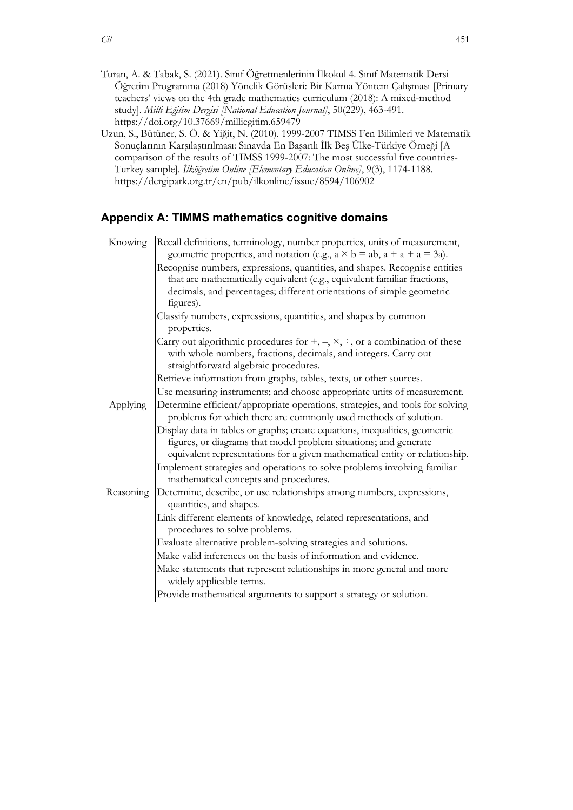- Turan, A. & Tabak, S. (2021). Sınıf Öğretmenlerinin İlkokul 4. Sınıf Matematik Dersi Öğretim Programına (2018) Yönelik Görüşleri: Bir Karma Yöntem Çalışması [Primary teachers' views on the 4th grade mathematics curriculum (2018): A mixed-method study]. *Milli Eğitim Dergisi [National Education Journal]*, 50(229), 463-491. https://doi.org/10.37669/milliegitim.659479
- Uzun, S., Bütüner, S. Ö. & Yiğit, N. (2010). 1999-2007 TIMSS Fen Bilimleri ve Matematik Sonuçlarının Karşılaştırılması: Sınavda En Başarılı İlk Beş Ülke-Türkiye Örneği [A comparison of the results of TIMSS 1999-2007: The most successful five countries-Turkey sample]. *İlköğretim Online [Elementary Education Online]*, 9(3), 1174-1188. https://dergipark.org.tr/en/pub/ilkonline/issue/8594/106902

# **Appendix A: TIMMS mathematics cognitive domains**

| Knowing   | Recall definitions, terminology, number properties, units of measurement,<br>geometric properties, and notation (e.g., $a \times b = ab$ , $a + a + a = 3a$ ).                                                                               |
|-----------|----------------------------------------------------------------------------------------------------------------------------------------------------------------------------------------------------------------------------------------------|
|           | Recognise numbers, expressions, quantities, and shapes. Recognise entities<br>that are mathematically equivalent (e.g., equivalent familiar fractions,<br>decimals, and percentages; different orientations of simple geometric<br>figures). |
|           | Classify numbers, expressions, quantities, and shapes by common<br>properties.                                                                                                                                                               |
|           | Carry out algorithmic procedures for $+$ , $-$ , $\times$ , $\div$ , or a combination of these<br>with whole numbers, fractions, decimals, and integers. Carry out<br>straightforward algebraic procedures.                                  |
|           | Retrieve information from graphs, tables, texts, or other sources.                                                                                                                                                                           |
|           | Use measuring instruments; and choose appropriate units of measurement.                                                                                                                                                                      |
| Applying  | Determine efficient/appropriate operations, strategies, and tools for solving<br>problems for which there are commonly used methods of solution.                                                                                             |
|           | Display data in tables or graphs; create equations, inequalities, geometric<br>figures, or diagrams that model problem situations; and generate<br>equivalent representations for a given mathematical entity or relationship.               |
|           | Implement strategies and operations to solve problems involving familiar<br>mathematical concepts and procedures.                                                                                                                            |
| Reasoning | Determine, describe, or use relationships among numbers, expressions,<br>quantities, and shapes.                                                                                                                                             |
|           | Link different elements of knowledge, related representations, and<br>procedures to solve problems.                                                                                                                                          |
|           | Evaluate alternative problem-solving strategies and solutions.                                                                                                                                                                               |
|           | Make valid inferences on the basis of information and evidence.                                                                                                                                                                              |
|           | Make statements that represent relationships in more general and more                                                                                                                                                                        |
|           | widely applicable terms.                                                                                                                                                                                                                     |
|           | Provide mathematical arguments to support a strategy or solution.                                                                                                                                                                            |